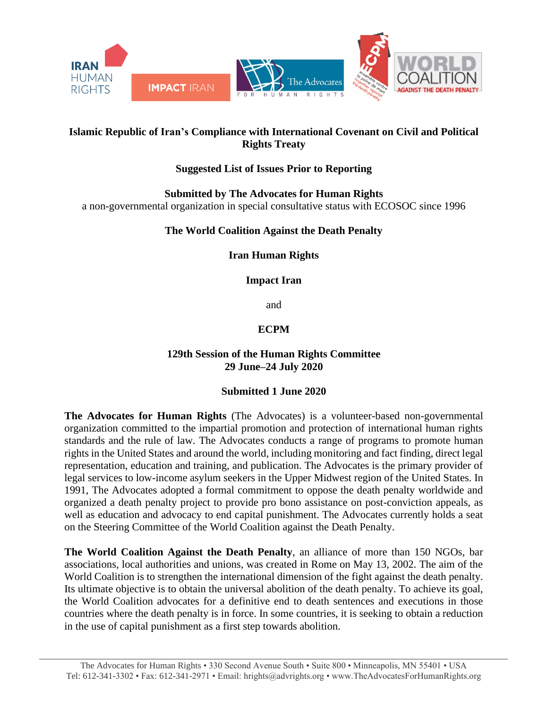

## **Islamic Republic of Iran's Compliance with International Covenant on Civil and Political Rights Treaty**

# **Suggested List of Issues Prior to Reporting**

**Submitted by The Advocates for Human Rights** a non-governmental organization in special consultative status with ECOSOC since 1996

# **The World Coalition Against the Death Penalty**

**Iran Human Rights**

**Impact Iran**

and

## **ECPM**

#### **129th Session of the Human Rights Committee 29 June–24 July 2020**

## **Submitted 1 June 2020**

**The Advocates for Human Rights** (The Advocates) is a volunteer-based non-governmental organization committed to the impartial promotion and protection of international human rights standards and the rule of law. The Advocates conducts a range of programs to promote human rights in the United States and around the world, including monitoring and fact finding, direct legal representation, education and training, and publication. The Advocates is the primary provider of legal services to low-income asylum seekers in the Upper Midwest region of the United States. In 1991, The Advocates adopted a formal commitment to oppose the death penalty worldwide and organized a death penalty project to provide pro bono assistance on post-conviction appeals, as well as education and advocacy to end capital punishment. The Advocates currently holds a seat on the Steering Committee of the World Coalition against the Death Penalty.

**The World Coalition Against the Death Penalty**, an alliance of more than 150 NGOs, bar associations, local authorities and unions, was created in Rome on May 13, 2002. The aim of the World Coalition is to strengthen the international dimension of the fight against the death penalty. Its ultimate objective is to obtain the universal abolition of the death penalty. To achieve its goal, the World Coalition advocates for a definitive end to death sentences and executions in those countries where the death penalty is in force. In some countries, it is seeking to obtain a reduction in the use of capital punishment as a first step towards abolition.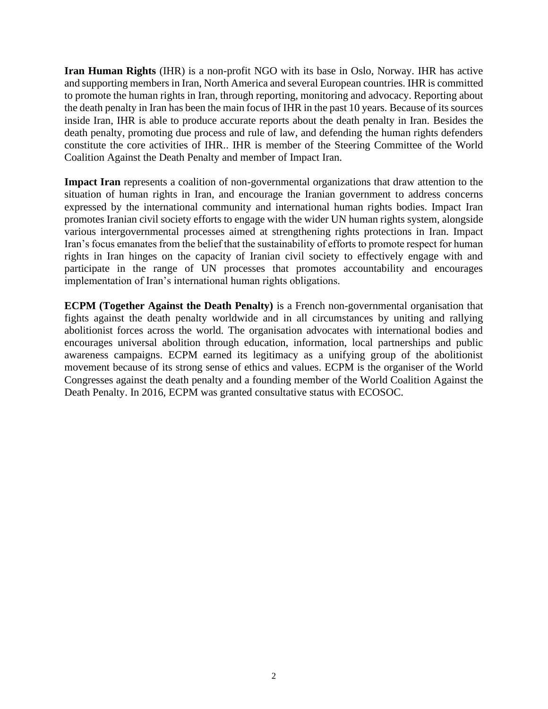**Iran Human Rights** (IHR) is a non-profit NGO with its base in Oslo, Norway. IHR has active and supporting members in Iran, North America and several European countries. IHR is committed to promote the human rights in Iran, through reporting, monitoring and advocacy. Reporting about the death penalty in Iran has been the main focus of IHR in the past 10 years. Because of its sources inside Iran, IHR is able to produce accurate reports about the death penalty in Iran. Besides the death penalty, promoting due process and rule of law, and defending the human rights defenders constitute the core activities of IHR.. IHR is member of the Steering Committee of the World Coalition Against the Death Penalty and member of Impact Iran.

**Impact Iran** represents a coalition of non-governmental organizations that draw attention to the situation of human rights in Iran, and encourage the Iranian government to address concerns expressed by the international community and international human rights bodies. Impact Iran promotes Iranian civil society efforts to engage with the wider UN human rights system, alongside various intergovernmental processes aimed at strengthening rights protections in Iran. Impact Iran's focus emanates from the belief that the sustainability of efforts to promote respect for human rights in Iran hinges on the capacity of Iranian civil society to effectively engage with and participate in the range of UN processes that promotes accountability and encourages implementation of Iran's international human rights obligations.

**ECPM (Together Against the Death Penalty)** is a French non-governmental organisation that fights against the death penalty worldwide and in all circumstances by uniting and rallying abolitionist forces across the world. The organisation advocates with international bodies and encourages universal abolition through education, information, local partnerships and public awareness campaigns. ECPM earned its legitimacy as a unifying group of the abolitionist movement because of its strong sense of ethics and values. ECPM is the organiser of the World Congresses against the death penalty and a founding member of the World Coalition Against the Death Penalty. In 2016, ECPM was granted consultative status with ECOSOC.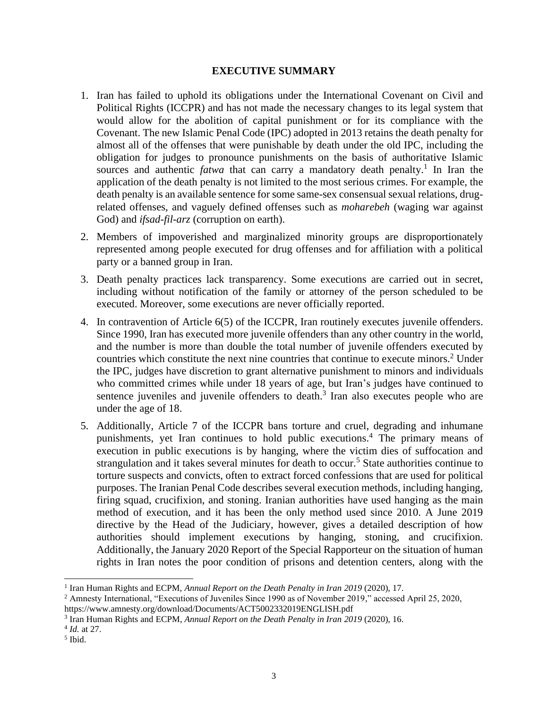#### **EXECUTIVE SUMMARY**

- 1. Iran has failed to uphold its obligations under the International Covenant on Civil and Political Rights (ICCPR) and has not made the necessary changes to its legal system that would allow for the abolition of capital punishment or for its compliance with the Covenant. The new Islamic Penal Code (IPC) adopted in 2013 retains the death penalty for almost all of the offenses that were punishable by death under the old IPC, including the obligation for judges to pronounce punishments on the basis of authoritative Islamic sources and authentic *fatwa* that can carry a mandatory death penalty.<sup>1</sup> In Iran the application of the death penalty is not limited to the most serious crimes. For example, the death penalty is an available sentence for some same-sex consensual sexual relations, drugrelated offenses, and vaguely defined offenses such as *moharebeh* (waging war against God) and *ifsad-fil-arz* (corruption on earth).
- 2. Members of impoverished and marginalized minority groups are disproportionately represented among people executed for drug offenses and for affiliation with a political party or a banned group in Iran.
- 3. Death penalty practices lack transparency. Some executions are carried out in secret, including without notification of the family or attorney of the person scheduled to be executed. Moreover, some executions are never officially reported.
- 4. In contravention of Article 6(5) of the ICCPR, Iran routinely executes juvenile offenders. Since 1990, Iran has executed more juvenile offenders than any other country in the world, and the number is more than double the total number of juvenile offenders executed by countries which constitute the next nine countries that continue to execute minors.<sup>2</sup> Under the IPC, judges have discretion to grant alternative punishment to minors and individuals who committed crimes while under 18 years of age, but Iran's judges have continued to sentence juveniles and juvenile offenders to death. $3$  Iran also executes people who are under the age of 18.
- 5. Additionally, Article 7 of the ICCPR bans torture and cruel, degrading and inhumane punishments, yet Iran continues to hold public executions. <sup>4</sup> The primary means of execution in public executions is by hanging, where the victim dies of suffocation and strangulation and it takes several minutes for death to occur.<sup>5</sup> State authorities continue to torture suspects and convicts, often to extract forced confessions that are used for political purposes. The Iranian Penal Code describes several execution methods, including hanging, firing squad, crucifixion, and stoning. Iranian authorities have used hanging as the main method of execution, and it has been the only method used since 2010. A June 2019 directive by the Head of the Judiciary, however, gives a detailed description of how authorities should implement executions by hanging, stoning, and crucifixion. Additionally, the January 2020 Report of the Special Rapporteur on the situation of human rights in Iran notes the poor condition of prisons and detention centers, along with the

<sup>1</sup> Iran Human Rights and ECPM, *Annual Report on the Death Penalty in Iran 2019* (2020), 17.

<sup>&</sup>lt;sup>2</sup> Amnesty International, "Executions of Juveniles Since 1990 as of November 2019," accessed April 25, 2020, https://www.amnesty.org/download/Documents/ACT5002332019ENGLISH.pdf

<sup>3</sup> Iran Human Rights and ECPM, *Annual Report on the Death Penalty in Iran 2019* (2020), 16.

<sup>4</sup> *Id.* at 27.

<sup>5</sup> Ibid.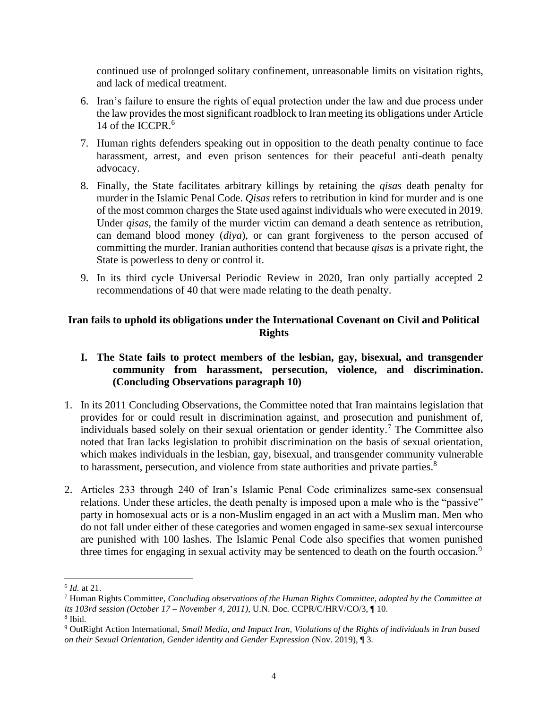continued use of prolonged solitary confinement, unreasonable limits on visitation rights, and lack of medical treatment.

- 6. Iran's failure to ensure the rights of equal protection under the law and due process under the law provides the most significant roadblock to Iran meeting its obligations under Article 14 of the ICCPR.<sup>6</sup>
- 7. Human rights defenders speaking out in opposition to the death penalty continue to face harassment, arrest, and even prison sentences for their peaceful anti-death penalty advocacy.
- 8. Finally, the State facilitates arbitrary killings by retaining the *qisas* death penalty for murder in the Islamic Penal Code. *Qisas* refers to retribution in kind for murder and is one of the most common charges the State used against individuals who were executed in 2019. Under *qisas*, the family of the murder victim can demand a death sentence as retribution, can demand blood money (*diya*), or can grant forgiveness to the person accused of committing the murder. Iranian authorities contend that because *qisas* is a private right, the State is powerless to deny or control it.
- 9. In its third cycle Universal Periodic Review in 2020, Iran only partially accepted 2 recommendations of 40 that were made relating to the death penalty.

# **Iran fails to uphold its obligations under the International Covenant on Civil and Political Rights**

## **I. The State fails to protect members of the lesbian, gay, bisexual, and transgender community from harassment, persecution, violence, and discrimination. (Concluding Observations paragraph 10)**

- 1. In its 2011 Concluding Observations, the Committee noted that Iran maintains legislation that provides for or could result in discrimination against, and prosecution and punishment of, individuals based solely on their sexual orientation or gender identity.<sup>7</sup> The Committee also noted that Iran lacks legislation to prohibit discrimination on the basis of sexual orientation, which makes individuals in the lesbian, gay, bisexual, and transgender community vulnerable to harassment, persecution, and violence from state authorities and private parties.<sup>8</sup>
- 2. Articles 233 through 240 of Iran's Islamic Penal Code criminalizes same-sex consensual relations. Under these articles, the death penalty is imposed upon a male who is the "passive" party in homosexual acts or is a non-Muslim engaged in an act with a Muslim man. Men who do not fall under either of these categories and women engaged in same-sex sexual intercourse are punished with 100 lashes. The Islamic Penal Code also specifies that women punished three times for engaging in sexual activity may be sentenced to death on the fourth occasion.<sup>9</sup>

<sup>6</sup> *Id.* at 21.

<sup>7</sup> Human Rights Committee, *Concluding observations of the Human Rights Committee, adopted by the Committee at its 103rd session (October 17 – November 4, 2011)*, U.N. Doc. CCPR/C/HRV/CO/3, ¶ 10. 8 Ibid.

<sup>9</sup> OutRight Action International, *Small Media, and Impact Iran, Violations of the Rights of individuals in Iran based on their Sexual Orientation, Gender identity and Gender Expression* (Nov. 2019), ¶ 3.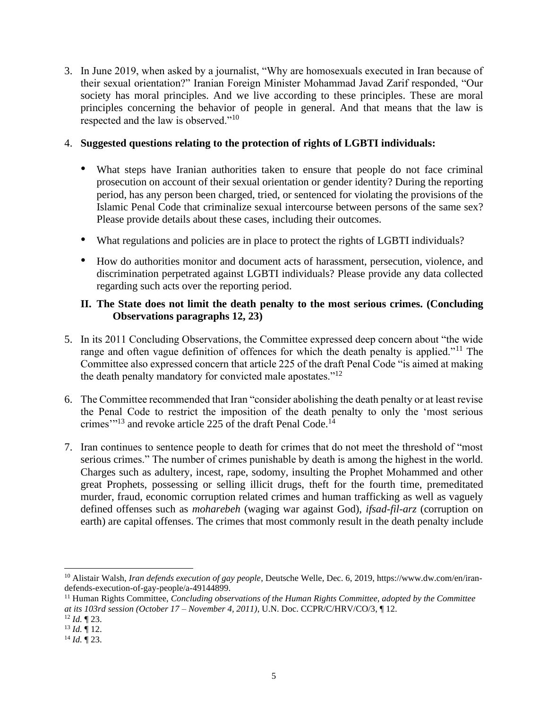3. In June 2019, when asked by a journalist, "Why are homosexuals executed in Iran because of their sexual orientation?" Iranian Foreign Minister Mohammad Javad Zarif responded, "Our society has moral principles. And we live according to these principles. These are moral principles concerning the behavior of people in general. And that means that the law is respected and the law is observed."<sup>10</sup>

### 4. **Suggested questions relating to the protection of rights of LGBTI individuals:**

- What steps have Iranian authorities taken to ensure that people do not face criminal prosecution on account of their sexual orientation or gender identity? During the reporting period, has any person been charged, tried, or sentenced for violating the provisions of the Islamic Penal Code that criminalize sexual intercourse between persons of the same sex? Please provide details about these cases, including their outcomes.
- What regulations and policies are in place to protect the rights of LGBTI individuals?
- How do authorities monitor and document acts of harassment, persecution, violence, and discrimination perpetrated against LGBTI individuals? Please provide any data collected regarding such acts over the reporting period.

## **II. The State does not limit the death penalty to the most serious crimes. (Concluding Observations paragraphs 12, 23)**

- 5. In its 2011 Concluding Observations, the Committee expressed deep concern about "the wide range and often vague definition of offences for which the death penalty is applied."<sup>11</sup> The Committee also expressed concern that article 225 of the draft Penal Code "is aimed at making the death penalty mandatory for convicted male apostates."<sup>12</sup>
- 6. The Committee recommended that Iran "consider abolishing the death penalty or at least revise the Penal Code to restrict the imposition of the death penalty to only the 'most serious crimes"<sup>13</sup> and revoke article 225 of the draft Penal Code.<sup>14</sup>
- 7. Iran continues to sentence people to death for crimes that do not meet the threshold of "most serious crimes." The number of crimes punishable by death is among the highest in the world. Charges such as adultery, incest, rape, sodomy, insulting the Prophet Mohammed and other great Prophets, possessing or selling illicit drugs, theft for the fourth time, premeditated murder, fraud, economic corruption related crimes and human trafficking as well as vaguely defined offenses such as *moharebeh* (waging war against God), *ifsad-fil-arz* (corruption on earth) are capital offenses. The crimes that most commonly result in the death penalty include

<sup>10</sup> Alistair Walsh, *Iran defends execution of gay people*, Deutsche Welle, Dec. 6, 2019, https://www.dw.com/en/irandefends-execution-of-gay-people/a-49144899.

<sup>11</sup> Human Rights Committee, *Concluding observations of the Human Rights Committee, adopted by the Committee at its 103rd session (October 17 – November 4, 2011)*, U.N. Doc. CCPR/C/HRV/CO/3, ¶ 12.

<sup>12</sup> *Id.* ¶ 23.

<sup>13</sup> *Id.* ¶ 12.

 $^{14}$  *Id.*  $\overline{9}$  23.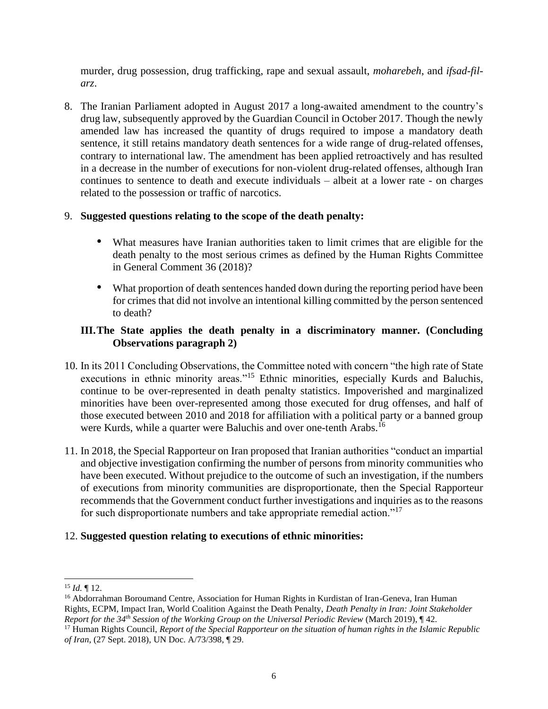murder, drug possession, drug trafficking, rape and sexual assault, *moharebeh*, and *ifsad-filarz*.

8. The Iranian Parliament adopted in August 2017 a long-awaited amendment to the country's drug law, subsequently approved by the Guardian Council in October 2017. Though the newly amended law has increased the quantity of drugs required to impose a mandatory death sentence, it still retains mandatory death sentences for a wide range of drug-related offenses, contrary to international law. The amendment has been applied retroactively and has resulted in a decrease in the number of executions for non-violent drug-related offenses, although Iran continues to sentence to death and execute individuals – albeit at a lower rate - on charges related to the possession or traffic of narcotics.

## 9. **Suggested questions relating to the scope of the death penalty:**

- What measures have Iranian authorities taken to limit crimes that are eligible for the death penalty to the most serious crimes as defined by the Human Rights Committee in General Comment 36 (2018)?
- What proportion of death sentences handed down during the reporting period have been for crimes that did not involve an intentional killing committed by the person sentenced to death?

### **III.The State applies the death penalty in a discriminatory manner. (Concluding Observations paragraph 2)**

- 10. In its 2011 Concluding Observations, the Committee noted with concern "the high rate of State executions in ethnic minority areas."<sup>15</sup> Ethnic minorities, especially Kurds and Baluchis, continue to be over-represented in death penalty statistics. Impoverished and marginalized minorities have been over-represented among those executed for drug offenses, and half of those executed between 2010 and 2018 for affiliation with a political party or a banned group were Kurds, while a quarter were Baluchis and over one-tenth Arabs.<sup>16</sup>
- 11. In 2018, the Special Rapporteur on Iran proposed that Iranian authorities "conduct an impartial and objective investigation confirming the number of persons from minority communities who have been executed. Without prejudice to the outcome of such an investigation, if the numbers of executions from minority communities are disproportionate, then the Special Rapporteur recommends that the Government conduct further investigations and inquiries as to the reasons for such disproportionate numbers and take appropriate remedial action."<sup>17</sup>

#### 12. **Suggested question relating to executions of ethnic minorities:**

<sup>15</sup> *Id.* ¶ 12.

<sup>&</sup>lt;sup>16</sup> Abdorrahman Boroumand Centre, Association for Human Rights in Kurdistan of Iran-Geneva, Iran Human Rights, ECPM, Impact Iran, World Coalition Against the Death Penalty, *Death Penalty in Iran: Joint Stakeholder Report for the 34th Session of the Working Group on the Universal Periodic Review* (March 2019), ¶ 42.

<sup>17</sup> Human Rights Council, *Report of the Special Rapporteur on the situation of human rights in the Islamic Republic of Iran*, (27 Sept. 2018), UN Doc. A/73/398, ¶ 29.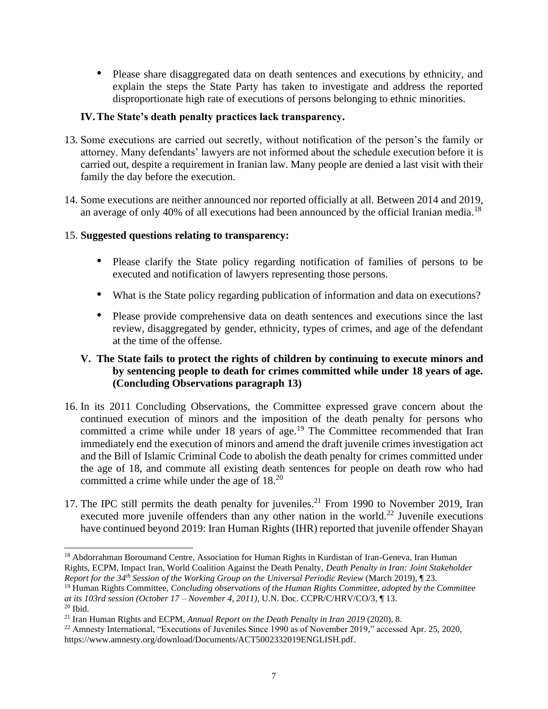• Please share disaggregated data on death sentences and executions by ethnicity, and explain the steps the State Party has taken to investigate and address the reported disproportionate high rate of executions of persons belonging to ethnic minorities.

### **IV.The State's death penalty practices lack transparency.**

- 13. Some executions are carried out secretly, without notification of the person's the family or attorney. Many defendants' lawyers are not informed about the schedule execution before it is carried out, despite a requirement in Iranian law. Many people are denied a last visit with their family the day before the execution.
- 14. Some executions are neither announced nor reported officially at all. Between 2014 and 2019, an average of only 40% of all executions had been announced by the official Iranian media.<sup>18</sup>

### 15. **Suggested questions relating to transparency:**

- Please clarify the State policy regarding notification of families of persons to be executed and notification of lawyers representing those persons.
- What is the State policy regarding publication of information and data on executions?
- Please provide comprehensive data on death sentences and executions since the last review, disaggregated by gender, ethnicity, types of crimes, and age of the defendant at the time of the offense.

### **V. The State fails to protect the rights of children by continuing to execute minors and by sentencing people to death for crimes committed while under 18 years of age. (Concluding Observations paragraph 13)**

- 16. In its 2011 Concluding Observations, the Committee expressed grave concern about the continued execution of minors and the imposition of the death penalty for persons who committed a crime while under 18 years of age.<sup>19</sup> The Committee recommended that Iran immediately end the execution of minors and amend the draft juvenile crimes investigation act and the Bill of Islamic Criminal Code to abolish the death penalty for crimes committed under the age of 18, and commute all existing death sentences for people on death row who had committed a crime while under the age of 18<sup>.20</sup>
- 17. The IPC still permits the death penalty for juveniles.<sup>21</sup> From 1990 to November 2019, Iran executed more juvenile offenders than any other nation in the world.<sup>22</sup> Juvenile executions have continued beyond 2019: Iran Human Rights (IHR) reported that juvenile offender Shayan

<sup>&</sup>lt;sup>18</sup> Abdorrahman Boroumand Centre, Association for Human Rights in Kurdistan of Iran-Geneva, Iran Human Rights, ECPM, Impact Iran, World Coalition Against the Death Penalty, *Death Penalty in Iran: Joint Stakeholder Report for the 34th Session of the Working Group on the Universal Periodic Review* (March 2019), ¶ 23.

<sup>19</sup> Human Rights Committee, *Concluding observations of the Human Rights Committee, adopted by the Committee at its 103rd session (October 17 – November 4, 2011)*, U.N. Doc. CCPR/C/HRV/CO/3, ¶ 13.  $20$  Ibid.

<sup>21</sup> Iran Human Rights and ECPM, *Annual Report on the Death Penalty in Iran 2019* (2020), 8.

<sup>&</sup>lt;sup>22</sup> Amnesty International, "Executions of Juveniles Since 1990 as of November 2019," accessed Apr. 25, 2020, https://www.amnesty.org/download/Documents/ACT5002332019ENGLISH.pdf.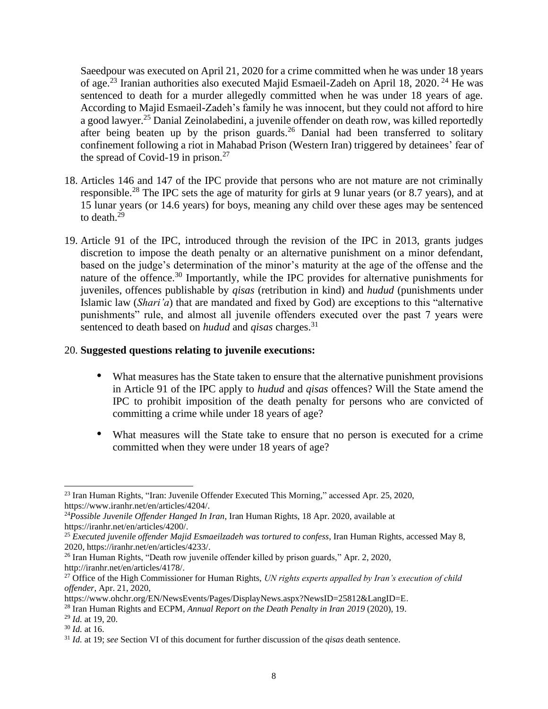Saeedpour was executed on April 21, 2020 for a crime committed when he was under 18 years of age.<sup>23</sup> Iranian authorities also executed Majid Esmaeil-Zadeh on April 18, 2020.<sup>24</sup> He was sentenced to death for a murder allegedly committed when he was under 18 years of age. According to Majid Esmaeil-Zadeh's family he was innocent, but they could not afford to hire a good lawyer.<sup>25</sup> Danial Zeinolabedini, a juvenile offender on death row, was killed reportedly after being beaten up by the prison guards.<sup>26</sup> Danial had been transferred to solitary confinement following a riot in Mahabad Prison (Western Iran) triggered by detainees' fear of the spread of Covid-19 in prison.<sup>27</sup>

- 18. Articles 146 and 147 of the IPC provide that persons who are not mature are not criminally responsible.<sup>28</sup> The IPC sets the age of maturity for girls at 9 lunar years (or 8.7 years), and at 15 lunar years (or 14.6 years) for boys, meaning any child over these ages may be sentenced to death. $^{29}$
- 19. Article 91 of the IPC, introduced through the revision of the IPC in 2013, grants judges discretion to impose the death penalty or an alternative punishment on a minor defendant, based on the judge's determination of the minor's maturity at the age of the offense and the nature of the offence.<sup>30</sup> Importantly, while the IPC provides for alternative punishments for juveniles, offences publishable by *qisas* (retribution in kind) and *hudud* (punishments under Islamic law (*Shari'a*) that are mandated and fixed by God) are exceptions to this "alternative punishments" rule, and almost all juvenile offenders executed over the past 7 years were sentenced to death based on *hudud* and *qisas* charges.<sup>31</sup>

#### 20. **Suggested questions relating to juvenile executions:**

- What measures has the State taken to ensure that the alternative punishment provisions in Article 91 of the IPC apply to *hudud* and *qisas* offences? Will the State amend the IPC to prohibit imposition of the death penalty for persons who are convicted of committing a crime while under 18 years of age?
- What measures will the State take to ensure that no person is executed for a crime committed when they were under 18 years of age?

<sup>23</sup> Iran Human Rights, "Iran: Juvenile Offender Executed This Morning," accessed Apr. 25, 2020, https://www.iranhr.net/en/articles/4204/.

<sup>24</sup>*Possible Juvenile Offender Hanged In Iran*, Iran Human Rights, 18 Apr. 2020, available at https://iranhr.net/en/articles/4200/.

<sup>25</sup> *Executed juvenile offender Majid Esmaeilzadeh was tortured to confess*, Iran Human Rights, accessed May 8, 2020, https://iranhr.net/en/articles/4233/.

<sup>26</sup> Iran Human Rights, "Death row juvenile offender killed by prison guards," Apr. 2, 2020, http://iranhr.net/en/articles/4178/.

<sup>27</sup> Office of the High Commissioner for Human Rights, *UN rights experts appalled by Iran's execution of child offender*, Apr. 21, 2020,

https://www.ohchr.org/EN/NewsEvents/Pages/DisplayNews.aspx?NewsID=25812&LangID=E.

<sup>28</sup> Iran Human Rights and ECPM, *Annual Report on the Death Penalty in Iran 2019* (2020), 19. <sup>29</sup> *Id.* at 19, 20.

<sup>30</sup> *Id.* at 16.

<sup>31</sup> *Id.* at 19; *see* Section VI of this document for further discussion of the *qisas* death sentence.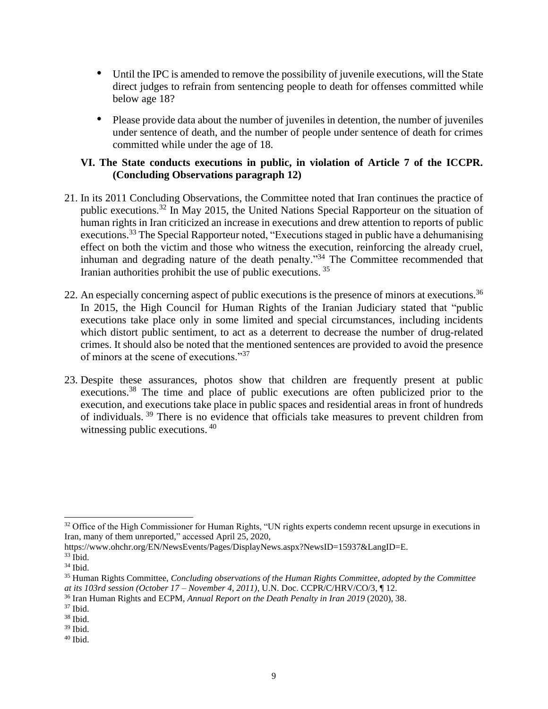- Until the IPC is amended to remove the possibility of juvenile executions, will the State direct judges to refrain from sentencing people to death for offenses committed while below age 18?
- Please provide data about the number of juveniles in detention, the number of juveniles under sentence of death, and the number of people under sentence of death for crimes committed while under the age of 18.

### **VI. The State conducts executions in public, in violation of Article 7 of the ICCPR. (Concluding Observations paragraph 12)**

- 21. In its 2011 Concluding Observations, the Committee noted that Iran continues the practice of public executions.<sup>32</sup> In May 2015, the United Nations Special Rapporteur on the situation of human rights in Iran criticized an increase in executions and drew attention to reports of public executions.<sup>33</sup> The Special Rapporteur noted, "Executions staged in public have a dehumanising effect on both the victim and those who witness the execution, reinforcing the already cruel, inhuman and degrading nature of the death penalty."<sup>34</sup> The Committee recommended that Iranian authorities prohibit the use of public executions. <sup>35</sup>
- 22. An especially concerning aspect of public executions is the presence of minors at executions.<sup>36</sup> In 2015, the High Council for Human Rights of the Iranian Judiciary stated that "public executions take place only in some limited and special circumstances, including incidents which distort public sentiment, to act as a deterrent to decrease the number of drug-related crimes. It should also be noted that the mentioned sentences are provided to avoid the presence of minors at the scene of executions."<sup>37</sup>
- 23. Despite these assurances, photos show that children are frequently present at public executions.<sup>38</sup> The time and place of public executions are often publicized prior to the execution, and executions take place in public spaces and residential areas in front of hundreds of individuals. <sup>39</sup> There is no evidence that officials take measures to prevent children from witnessing public executions. 40

<sup>&</sup>lt;sup>32</sup> Office of the High Commissioner for Human Rights, "UN rights experts condemn recent upsurge in executions in Iran, many of them unreported," accessed April 25, 2020,

https://www.ohchr.org/EN/NewsEvents/Pages/DisplayNews.aspx?NewsID=15937&LangID=E.

 $33$  Ibid.

<sup>34</sup> Ibid.

<sup>35</sup> Human Rights Committee, *Concluding observations of the Human Rights Committee, adopted by the Committee at its 103rd session (October 17 – November 4, 2011)*, U.N. Doc. CCPR/C/HRV/CO/3, ¶ 12.

<sup>36</sup> Iran Human Rights and ECPM, *Annual Report on the Death Penalty in Iran 2019* (2020), 38.

<sup>37</sup> Ibid.

<sup>38</sup> Ibid.

 $39$  Ibid.

 $40$  Ibid.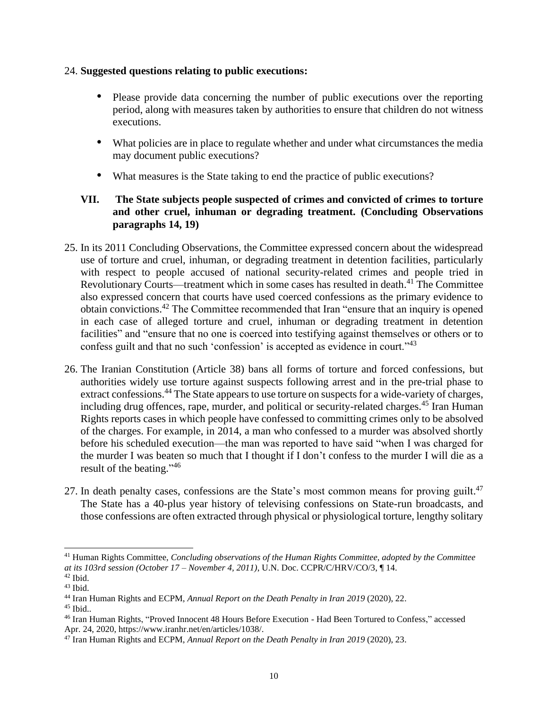#### 24. **Suggested questions relating to public executions:**

- Please provide data concerning the number of public executions over the reporting period, along with measures taken by authorities to ensure that children do not witness executions.
- What policies are in place to regulate whether and under what circumstances the media may document public executions?
- What measures is the State taking to end the practice of public executions?

# **VII. The State subjects people suspected of crimes and convicted of crimes to torture and other cruel, inhuman or degrading treatment. (Concluding Observations paragraphs 14, 19)**

- 25. In its 2011 Concluding Observations, the Committee expressed concern about the widespread use of torture and cruel, inhuman, or degrading treatment in detention facilities, particularly with respect to people accused of national security-related crimes and people tried in Revolutionary Courts—treatment which in some cases has resulted in death.<sup>41</sup> The Committee also expressed concern that courts have used coerced confessions as the primary evidence to obtain convictions.<sup>42</sup> The Committee recommended that Iran "ensure that an inquiry is opened in each case of alleged torture and cruel, inhuman or degrading treatment in detention facilities" and "ensure that no one is coerced into testifying against themselves or others or to confess guilt and that no such 'confession' is accepted as evidence in court."<sup>43</sup>
- 26. The Iranian Constitution (Article 38) bans all forms of torture and forced confessions, but authorities widely use torture against suspects following arrest and in the pre-trial phase to extract confessions.<sup>44</sup> The State appears to use torture on suspects for a wide-variety of charges, including drug offences, rape, murder, and political or security-related charges.<sup>45</sup> Iran Human Rights reports cases in which people have confessed to committing crimes only to be absolved of the charges. For example, in 2014, a man who confessed to a murder was absolved shortly before his scheduled execution—the man was reported to have said "when I was charged for the murder I was beaten so much that I thought if I don't confess to the murder I will die as a result of the beating." <sup>46</sup>
- 27. In death penalty cases, confessions are the State's most common means for proving guilt.<sup>47</sup> The State has a 40-plus year history of televising confessions on State-run broadcasts, and those confessions are often extracted through physical or physiological torture, lengthy solitary

<sup>41</sup> Human Rights Committee, *Concluding observations of the Human Rights Committee, adopted by the Committee at its 103rd session (October 17 – November 4, 2011)*, U.N. Doc. CCPR/C/HRV/CO/3, ¶ 14.

 $42$  Ibid.

 $43$  Ibid.

<sup>44</sup> Iran Human Rights and ECPM, *Annual Report on the Death Penalty in Iran 2019* (2020), 22.

 $45$  Ibid..

<sup>46</sup> Iran Human Rights, "Proved Innocent 48 Hours Before Execution - Had Been Tortured to Confess," accessed Apr. 24, 2020, https://www.iranhr.net/en/articles/1038/.

<sup>47</sup> Iran Human Rights and ECPM, *Annual Report on the Death Penalty in Iran 2019* (2020), 23.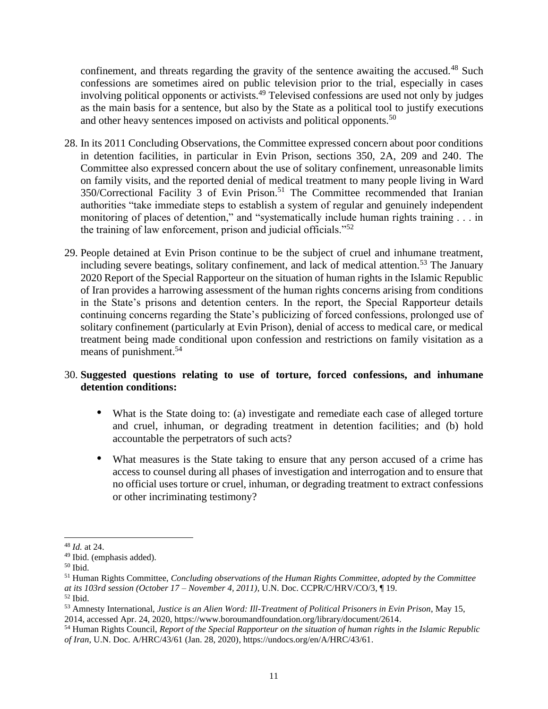confinement, and threats regarding the gravity of the sentence awaiting the accused.<sup>48</sup> Such confessions are sometimes aired on public television prior to the trial, especially in cases involving political opponents or activists. <sup>49</sup> Televised confessions are used not only by judges as the main basis for a sentence, but also by the State as a political tool to justify executions and other heavy sentences imposed on activists and political opponents.<sup>50</sup>

- 28. In its 2011 Concluding Observations, the Committee expressed concern about poor conditions in detention facilities, in particular in Evin Prison, sections 350, 2A, 209 and 240. The Committee also expressed concern about the use of solitary confinement, unreasonable limits on family visits, and the reported denial of medical treatment to many people living in Ward 350/Correctional Facility 3 of Evin Prison.<sup>51</sup> The Committee recommended that Iranian authorities "take immediate steps to establish a system of regular and genuinely independent monitoring of places of detention," and "systematically include human rights training . . . in the training of law enforcement, prison and judicial officials." $52$
- 29. People detained at Evin Prison continue to be the subject of cruel and inhumane treatment, including severe beatings, solitary confinement, and lack of medical attention.<sup>53</sup> The January 2020 Report of the Special Rapporteur on the situation of human rights in the Islamic Republic of Iran provides a harrowing assessment of the human rights concerns arising from conditions in the State's prisons and detention centers. In the report, the Special Rapporteur details continuing concerns regarding the State's publicizing of forced confessions, prolonged use of solitary confinement (particularly at Evin Prison), denial of access to medical care, or medical treatment being made conditional upon confession and restrictions on family visitation as a means of punishment.<sup>54</sup>

### 30. **Suggested questions relating to use of torture, forced confessions, and inhumane detention conditions:**

- What is the State doing to: (a) investigate and remediate each case of alleged torture and cruel, inhuman, or degrading treatment in detention facilities; and (b) hold accountable the perpetrators of such acts?
- What measures is the State taking to ensure that any person accused of a crime has access to counsel during all phases of investigation and interrogation and to ensure that no official uses torture or cruel, inhuman, or degrading treatment to extract confessions or other incriminating testimony?

2014, accessed Apr. 24, 2020, https://www.boroumandfoundation.org/library/document/2614.

<sup>48</sup> *Id.* at 24.

<sup>49</sup> Ibid. (emphasis added).

<sup>50</sup> Ibid.

<sup>51</sup> Human Rights Committee, *Concluding observations of the Human Rights Committee, adopted by the Committee at its 103rd session (October 17 – November 4, 2011)*, U.N. Doc. CCPR/C/HRV/CO/3, ¶ 19.

<sup>52</sup> Ibid.

<sup>53</sup> Amnesty International, *Justice is an Alien Word: Ill-Treatment of Political Prisoners in Evin Prison*, May 15,

<sup>54</sup> Human Rights Council, *Report of the Special Rapporteur on the situation of human rights in the Islamic Republic of Iran*, U.N. Doc. A/HRC/43/61 (Jan. 28, 2020), https://undocs.org/en/A/HRC/43/61.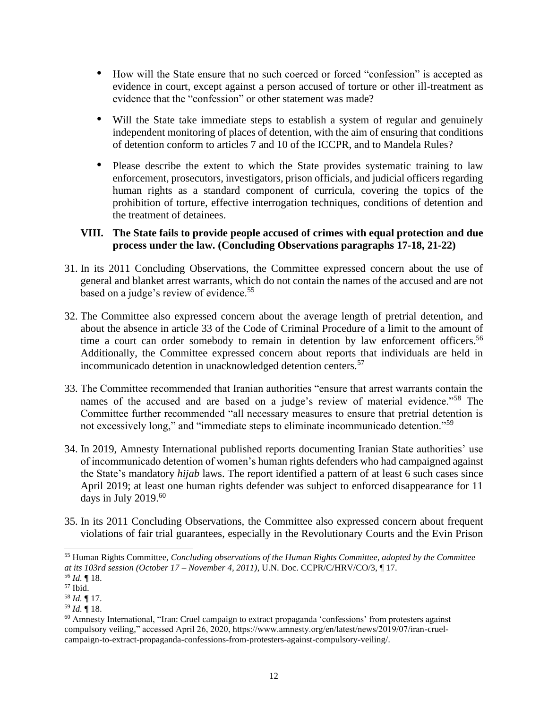- How will the State ensure that no such coerced or forced "confession" is accepted as evidence in court, except against a person accused of torture or other ill-treatment as evidence that the "confession" or other statement was made?
- Will the State take immediate steps to establish a system of regular and genuinely independent monitoring of places of detention, with the aim of ensuring that conditions of detention conform to articles 7 and 10 of the ICCPR, and to Mandela Rules?
- Please describe the extent to which the State provides systematic training to law enforcement, prosecutors, investigators, prison officials, and judicial officers regarding human rights as a standard component of curricula, covering the topics of the prohibition of torture, effective interrogation techniques, conditions of detention and the treatment of detainees.

### **VIII. The State fails to provide people accused of crimes with equal protection and due process under the law. (Concluding Observations paragraphs 17-18, 21-22)**

- 31. In its 2011 Concluding Observations, the Committee expressed concern about the use of general and blanket arrest warrants, which do not contain the names of the accused and are not based on a judge's review of evidence.<sup>55</sup>
- 32. The Committee also expressed concern about the average length of pretrial detention, and about the absence in article 33 of the Code of Criminal Procedure of a limit to the amount of time a court can order somebody to remain in detention by law enforcement officers.<sup>56</sup> Additionally, the Committee expressed concern about reports that individuals are held in incommunicado detention in unacknowledged detention centers.<sup>57</sup>
- 33. The Committee recommended that Iranian authorities "ensure that arrest warrants contain the names of the accused and are based on a judge's review of material evidence."<sup>58</sup> The Committee further recommended "all necessary measures to ensure that pretrial detention is not excessively long," and "immediate steps to eliminate incommunicado detention."<sup>59</sup>
- 34. In 2019, Amnesty International published reports documenting Iranian State authorities' use of incommunicado detention of women's human rights defenders who had campaigned against the State's mandatory *hijab* laws. The report identified a pattern of at least 6 such cases since April 2019; at least one human rights defender was subject to enforced disappearance for 11 days in July 2019. $60$
- 35. In its 2011 Concluding Observations, the Committee also expressed concern about frequent violations of fair trial guarantees, especially in the Revolutionary Courts and the Evin Prison

<sup>55</sup> Human Rights Committee, *Concluding observations of the Human Rights Committee, adopted by the Committee at its 103rd session (October 17 – November 4, 2011)*, U.N. Doc. CCPR/C/HRV/CO/3, ¶ 17.

<sup>56</sup> *Id.* ¶ 18.

<sup>57</sup> Ibid.

<sup>58</sup> *Id.* ¶ 17.

<sup>59</sup> *Id.* ¶ 18.

<sup>60</sup> Amnesty International, "Iran: Cruel campaign to extract propaganda 'confessions' from protesters against compulsory veiling," accessed April 26, 2020, https://www.amnesty.org/en/latest/news/2019/07/iran-cruelcampaign-to-extract-propaganda-confessions-from-protesters-against-compulsory-veiling/.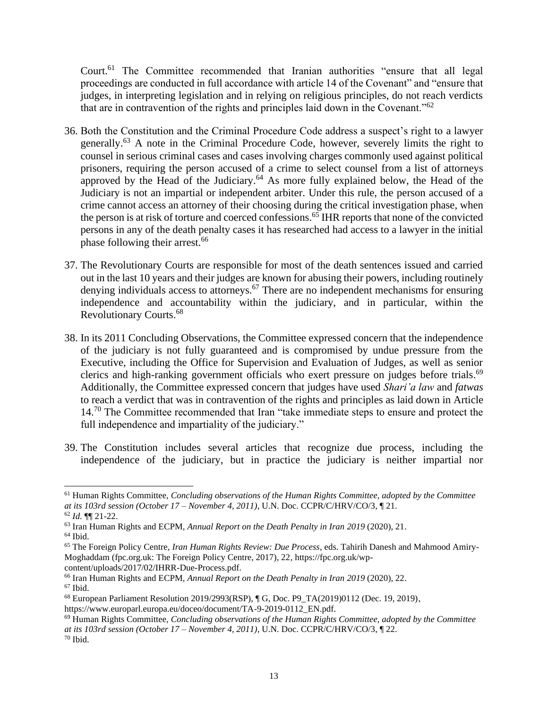Court.<sup>61</sup> The Committee recommended that Iranian authorities "ensure that all legal proceedings are conducted in full accordance with article 14 of the Covenant" and "ensure that judges, in interpreting legislation and in relying on religious principles, do not reach verdicts that are in contravention of the rights and principles laid down in the Covenant.<sup> $0.62$ </sup>

- 36. Both the Constitution and the Criminal Procedure Code address a suspect's right to a lawyer generally.<sup>63</sup> A note in the Criminal Procedure Code, however, severely limits the right to counsel in serious criminal cases and cases involving charges commonly used against political prisoners, requiring the person accused of a crime to select counsel from a list of attorneys approved by the Head of the Judiciary.<sup>64</sup> As more fully explained below, the Head of the Judiciary is not an impartial or independent arbiter. Under this rule, the person accused of a crime cannot access an attorney of their choosing during the critical investigation phase, when the person is at risk of torture and coerced confessions. <sup>65</sup> IHR reports that none of the convicted persons in any of the death penalty cases it has researched had access to a lawyer in the initial phase following their arrest.<sup>66</sup>
- 37. The Revolutionary Courts are responsible for most of the death sentences issued and carried out in the last 10 years and their judges are known for abusing their powers, including routinely denying individuals access to attorneys.<sup>67</sup> There are no independent mechanisms for ensuring independence and accountability within the judiciary, and in particular, within the Revolutionary Courts.<sup>68</sup>
- 38. In its 2011 Concluding Observations, the Committee expressed concern that the independence of the judiciary is not fully guaranteed and is compromised by undue pressure from the Executive, including the Office for Supervision and Evaluation of Judges, as well as senior clerics and high-ranking government officials who exert pressure on judges before trials.<sup>69</sup> Additionally, the Committee expressed concern that judges have used *Shari'a law* and *fatwas*  to reach a verdict that was in contravention of the rights and principles as laid down in Article 14.<sup>70</sup> The Committee recommended that Iran "take immediate steps to ensure and protect the full independence and impartiality of the judiciary."
- 39. The Constitution includes several articles that recognize due process, including the independence of the judiciary, but in practice the judiciary is neither impartial nor

<sup>61</sup> Human Rights Committee, *Concluding observations of the Human Rights Committee, adopted by the Committee at its 103rd session (October 17 – November 4, 2011)*, U.N. Doc. CCPR/C/HRV/CO/3, ¶ 21.

<sup>62</sup> *Id.* ¶¶ 21-22.

<sup>63</sup> Iran Human Rights and ECPM, *Annual Report on the Death Penalty in Iran 2019* (2020), 21.

 $64$  Ibid.

<sup>65</sup> The Foreign Policy Centre, *Iran Human Rights Review: Due Process*, eds. Tahirih Danesh and Mahmood Amiry-Moghaddam (fpc.org.uk: The Foreign Policy Centre, 2017), 22, https://fpc.org.uk/wpcontent/uploads/2017/02/IHRR-Due-Process.pdf.

<sup>66</sup> Iran Human Rights and ECPM, *Annual Report on the Death Penalty in Iran 2019* (2020), 22.  $67$  Ibid.

<sup>68</sup> European Parliament Resolution 2019/2993(RSP), ¶ G, Doc. P9\_TA(2019)0112 (Dec. 19, 2019),

https://www.europarl.europa.eu/doceo/document/TA-9-2019-0112\_EN.pdf.

<sup>69</sup> Human Rights Committee, *Concluding observations of the Human Rights Committee, adopted by the Committee at its 103rd session (October 17 – November 4, 2011)*, U.N. Doc. CCPR/C/HRV/CO/3, ¶ 22.  $70$  Ibid.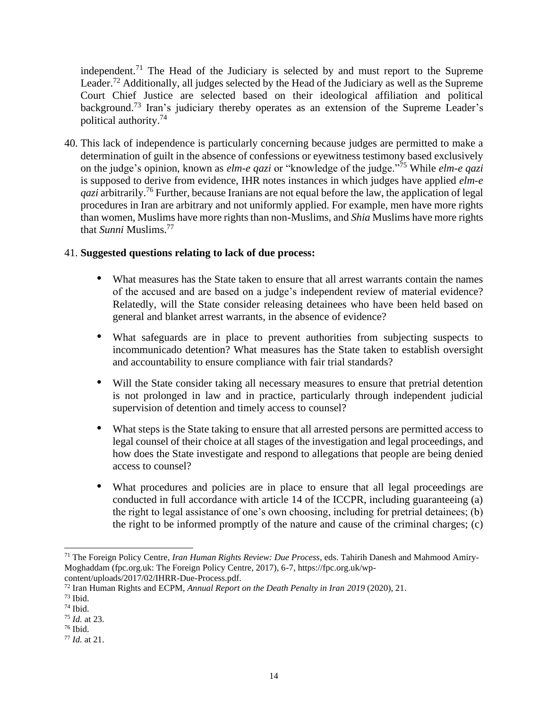independent.<sup>71</sup> The Head of the Judiciary is selected by and must report to the Supreme Leader.<sup>72</sup> Additionally, all judges selected by the Head of the Judiciary as well as the Supreme Court Chief Justice are selected based on their ideological affiliation and political background.<sup>73</sup> Iran's judiciary thereby operates as an extension of the Supreme Leader's political authority. 74

40. This lack of independence is particularly concerning because judges are permitted to make a determination of guilt in the absence of confessions or eyewitness testimony based exclusively on the judge's opinion, known as *elm-e qazi* or "knowledge of the judge." <sup>75</sup> While *elm-e qazi* is supposed to derive from evidence, IHR notes instances in which judges have applied *elm-e qazi* arbitrarily.<sup>76</sup> Further, because Iranians are not equal before the law, the application of legal procedures in Iran are arbitrary and not uniformly applied. For example, men have more rights than women, Muslims have more rights than non-Muslims, and *Shia* Muslims have more rights that *Sunni* Muslims.<sup>77</sup>

### 41. **Suggested questions relating to lack of due process:**

- What measures has the State taken to ensure that all arrest warrants contain the names of the accused and are based on a judge's independent review of material evidence? Relatedly, will the State consider releasing detainees who have been held based on general and blanket arrest warrants, in the absence of evidence?
- What safeguards are in place to prevent authorities from subjecting suspects to incommunicado detention? What measures has the State taken to establish oversight and accountability to ensure compliance with fair trial standards?
- Will the State consider taking all necessary measures to ensure that pretrial detention is not prolonged in law and in practice, particularly through independent judicial supervision of detention and timely access to counsel?
- What steps is the State taking to ensure that all arrested persons are permitted access to legal counsel of their choice at all stages of the investigation and legal proceedings, and how does the State investigate and respond to allegations that people are being denied access to counsel?
- What procedures and policies are in place to ensure that all legal proceedings are conducted in full accordance with article 14 of the ICCPR, including guaranteeing (a) the right to legal assistance of one's own choosing, including for pretrial detainees; (b) the right to be informed promptly of the nature and cause of the criminal charges; (c)

<sup>71</sup> The Foreign Policy Centre, *Iran Human Rights Review: Due Process*, eds. Tahirih Danesh and Mahmood Amiry-Moghaddam (fpc.org.uk: The Foreign Policy Centre, 2017), 6-7, https://fpc.org.uk/wpcontent/uploads/2017/02/IHRR-Due-Process.pdf.

<sup>72</sup> Iran Human Rights and ECPM, *Annual Report on the Death Penalty in Iran 2019* (2020), 21.

 $73$  Ibid.

<sup>74</sup> Ibid.

<sup>75</sup> *Id.* at 23.

 $76$  Ibid.

<sup>77</sup> *Id.* at 21.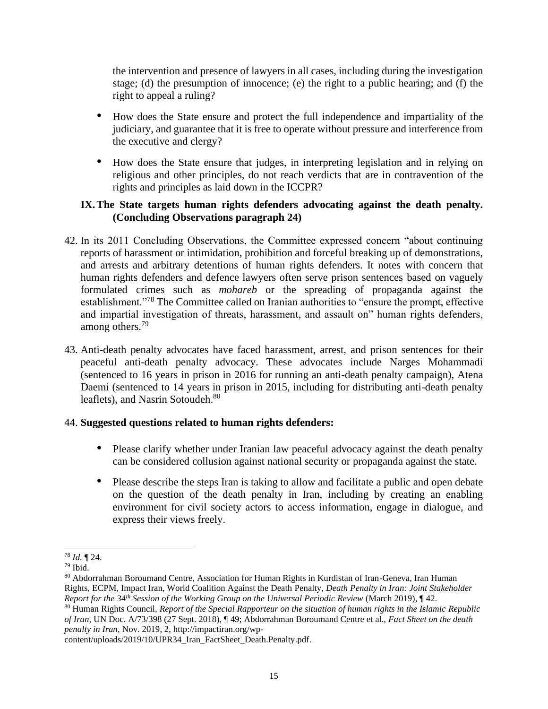the intervention and presence of lawyers in all cases, including during the investigation stage; (d) the presumption of innocence; (e) the right to a public hearing; and (f) the right to appeal a ruling?

- How does the State ensure and protect the full independence and impartiality of the judiciary, and guarantee that it is free to operate without pressure and interference from the executive and clergy?
- How does the State ensure that judges, in interpreting legislation and in relying on religious and other principles, do not reach verdicts that are in contravention of the rights and principles as laid down in the ICCPR?

## **IX.The State targets human rights defenders advocating against the death penalty. (Concluding Observations paragraph 24)**

- 42. In its 2011 Concluding Observations, the Committee expressed concern "about continuing reports of harassment or intimidation, prohibition and forceful breaking up of demonstrations, and arrests and arbitrary detentions of human rights defenders. It notes with concern that human rights defenders and defence lawyers often serve prison sentences based on vaguely formulated crimes such as *mohareb* or the spreading of propaganda against the establishment."<sup>78</sup> The Committee called on Iranian authorities to "ensure the prompt, effective and impartial investigation of threats, harassment, and assault on" human rights defenders, among others.<sup>79</sup>
- 43. Anti-death penalty advocates have faced harassment, arrest, and prison sentences for their peaceful anti-death penalty advocacy. These advocates include Narges Mohammadi (sentenced to 16 years in prison in 2016 for running an anti-death penalty campaign), Atena Daemi (sentenced to 14 years in prison in 2015, including for distributing anti-death penalty leaflets), and Nasrin Sotoudeh.<sup>80</sup>

## 44. **Suggested questions related to human rights defenders:**

- Please clarify whether under Iranian law peaceful advocacy against the death penalty can be considered collusion against national security or propaganda against the state.
- Please describe the steps Iran is taking to allow and facilitate a public and open debate on the question of the death penalty in Iran, including by creating an enabling environment for civil society actors to access information, engage in dialogue, and express their views freely.

content/uploads/2019/10/UPR34\_Iran\_FactSheet\_Death.Penalty.pdf.

<sup>78</sup> *Id.* ¶ 24.

<sup>79</sup> Ibid.

<sup>80</sup> Abdorrahman Boroumand Centre, Association for Human Rights in Kurdistan of Iran-Geneva, Iran Human Rights, ECPM, Impact Iran, World Coalition Against the Death Penalty, *Death Penalty in Iran: Joint Stakeholder Report for the 34th Session of the Working Group on the Universal Periodic Review* (March 2019), ¶ 42.

<sup>80</sup> Human Rights Council, *Report of the Special Rapporteur on the situation of human rights in the Islamic Republic of Iran*, UN Doc. A/73/398 (27 Sept. 2018), ¶ 49; Abdorrahman Boroumand Centre et al., *Fact Sheet on the death penalty in Iran*, Nov. 2019, 2, http://impactiran.org/wp-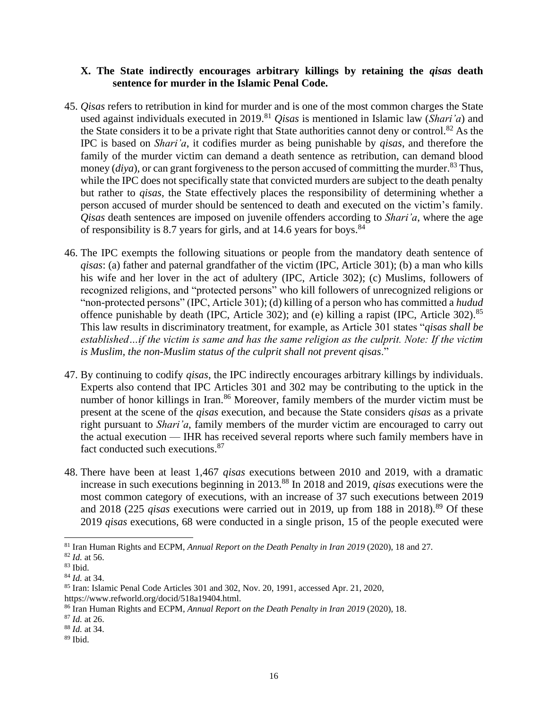#### **X. The State indirectly encourages arbitrary killings by retaining the** *qisas* **death sentence for murder in the Islamic Penal Code.**

- 45. *Qisas* refers to retribution in kind for murder and is one of the most common charges the State used against individuals executed in 2019.<sup>81</sup> *Qisas* is mentioned in Islamic law (*Shari'a*) and the State considers it to be a private right that State authorities cannot deny or control.<sup>82</sup> As the IPC is based on *Shari'a*, it codifies murder as being punishable by *qisas*, and therefore the family of the murder victim can demand a death sentence as retribution, can demand blood money (*diya*), or can grant forgiveness to the person accused of committing the murder. <sup>83</sup> Thus, while the IPC does not specifically state that convicted murders are subject to the death penalty but rather to *qisas*, the State effectively places the responsibility of determining whether a person accused of murder should be sentenced to death and executed on the victim's family. *Qisas* death sentences are imposed on juvenile offenders according to *Shari'a*, where the age of responsibility is 8.7 years for girls, and at 14.6 years for boys.<sup>84</sup>
- 46. The IPC exempts the following situations or people from the mandatory death sentence of *qisas*: (a) father and paternal grandfather of the victim (IPC, Article 301); (b) a man who kills his wife and her lover in the act of adultery (IPC, Article 302); (c) Muslims, followers of recognized religions, and "protected persons" who kill followers of unrecognized religions or "non-protected persons" (IPC, Article 301); (d) killing of a person who has committed a *hudud*  offence punishable by death (IPC, Article 302); and (e) killing a rapist (IPC, Article 302).<sup>85</sup> This law results in discriminatory treatment, for example, as Article 301 states "*qisas shall be established…if the victim is same and has the same religion as the culprit. Note: If the victim is Muslim, the non-Muslim status of the culprit shall not prevent qisas*."
- 47. By continuing to codify *qisas*, the IPC indirectly encourages arbitrary killings by individuals. Experts also contend that IPC Articles 301 and 302 may be contributing to the uptick in the number of honor killings in Iran.<sup>86</sup> Moreover, family members of the murder victim must be present at the scene of the *qisas* execution, and because the State considers *qisas* as a private right pursuant to *Shari'a*, family members of the murder victim are encouraged to carry out the actual execution — IHR has received several reports where such family members have in fact conducted such executions.<sup>87</sup>
- 48. There have been at least 1,467 *qisas* executions between 2010 and 2019, with a dramatic increase in such executions beginning in 2013.<sup>88</sup> In 2018 and 2019, *qisas* executions were the most common category of executions, with an increase of 37 such executions between 2019 and 2018 (225 *gisas* executions were carried out in 2019, up from 188 in 2018).<sup>89</sup> Of these 2019 *qisas* executions, 68 were conducted in a single prison, 15 of the people executed were

<sup>81</sup> Iran Human Rights and ECPM, *Annual Report on the Death Penalty in Iran 2019* (2020), 18 and 27.

<sup>82</sup> *Id.* at 56.

<sup>83</sup> Ibid.

<sup>84</sup> *Id.* at 34.

<sup>85</sup> Iran: Islamic Penal Code Articles 301 and 302, Nov. 20, 1991, accessed Apr. 21, 2020, https://www.refworld.org/docid/518a19404.html.

<sup>86</sup> Iran Human Rights and ECPM, *Annual Report on the Death Penalty in Iran 2019* (2020), 18.

<sup>87</sup> *Id.* at 26.

<sup>88</sup> *Id.* at 34.

 $89$  Ibid.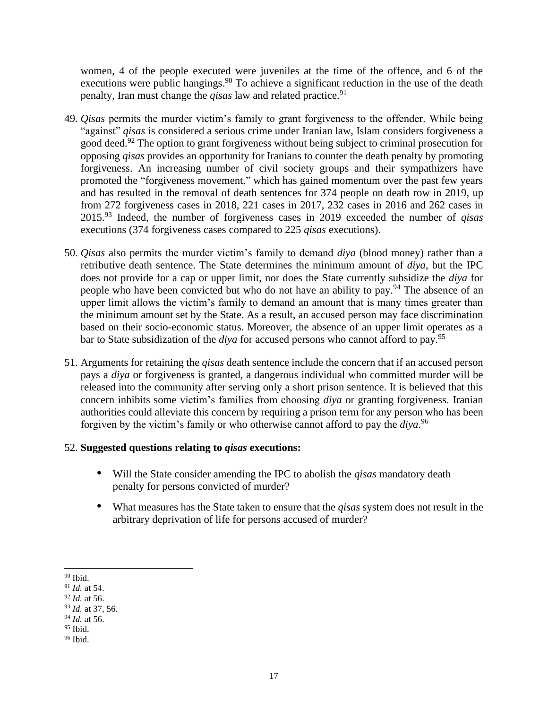women, 4 of the people executed were juveniles at the time of the offence, and 6 of the executions were public hangings.<sup>90</sup> To achieve a significant reduction in the use of the death penalty, Iran must change the *qisas* law and related practice.<sup>91</sup>

- 49. *Qisas* permits the murder victim's family to grant forgiveness to the offender. While being "against" *qisas* is considered a serious crime under Iranian law, Islam considers forgiveness a good deed.<sup>92</sup> The option to grant forgiveness without being subject to criminal prosecution for opposing *qisas* provides an opportunity for Iranians to counter the death penalty by promoting forgiveness. An increasing number of civil society groups and their sympathizers have promoted the "forgiveness movement," which has gained momentum over the past few years and has resulted in the removal of death sentences for 374 people on death row in 2019, up from 272 forgiveness cases in 2018, 221 cases in 2017, 232 cases in 2016 and 262 cases in 2015.<sup>93</sup> Indeed, the number of forgiveness cases in 2019 exceeded the number of *qisas*  executions (374 forgiveness cases compared to 225 *qisas* executions).
- 50. *Qisas* also permits the murder victim's family to demand *diya* (blood money) rather than a retributive death sentence. The State determines the minimum amount of *diya*, but the IPC does not provide for a cap or upper limit, nor does the State currently subsidize the *diya* for people who have been convicted but who do not have an ability to pay.<sup>94</sup> The absence of an upper limit allows the victim's family to demand an amount that is many times greater than the minimum amount set by the State. As a result, an accused person may face discrimination based on their socio-economic status. Moreover, the absence of an upper limit operates as a bar to State subsidization of the *diya* for accused persons who cannot afford to pay.<sup>95</sup>
- 51. Arguments for retaining the *qisas* death sentence include the concern that if an accused person pays a *diya* or forgiveness is granted, a dangerous individual who committed murder will be released into the community after serving only a short prison sentence. It is believed that this concern inhibits some victim's families from choosing *diya* or granting forgiveness. Iranian authorities could alleviate this concern by requiring a prison term for any person who has been forgiven by the victim's family or who otherwise cannot afford to pay the *diya*. 96

#### 52. **Suggested questions relating to** *qisas* **executions:**

- Will the State consider amending the IPC to abolish the *qisas* mandatory death penalty for persons convicted of murder?
- What measures has the State taken to ensure that the *qisas* system does not result in the arbitrary deprivation of life for persons accused of murder?

 $90$  Ibid.

<sup>91</sup> *Id.* at 54.

<sup>92</sup> *Id.* at 56.

<sup>93</sup> *Id.* at 37, 56.

<sup>94</sup> *Id.* at 56.

<sup>95</sup> Ibid.

<sup>96</sup> Ibid.